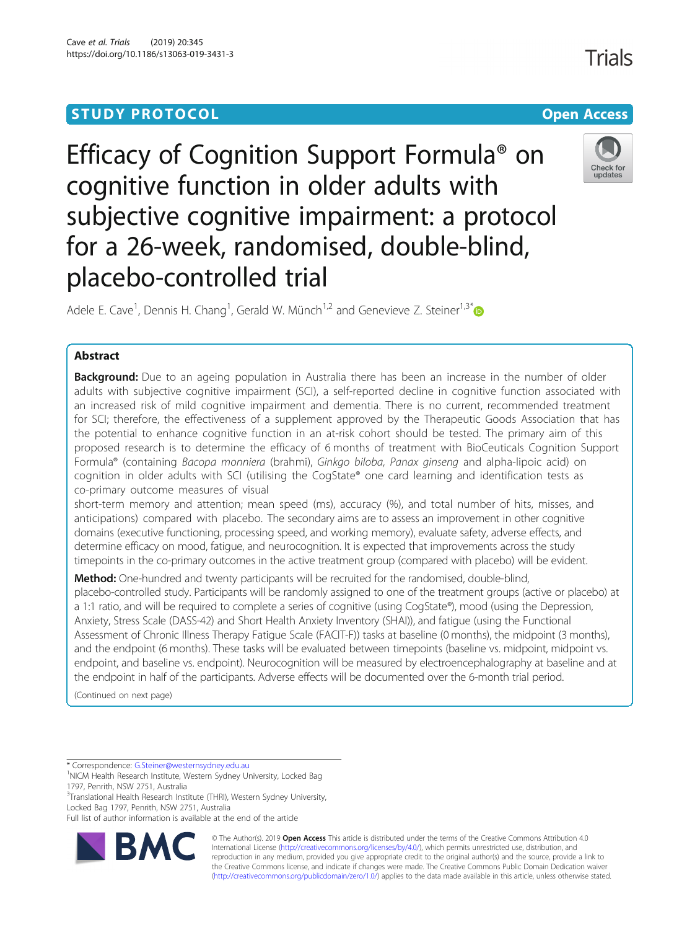# **STUDY PROTOCOL CONSUMING THE RESERVE ACCESS**

Efficacy of Cognition Support Formula® on cognitive function in older adults with subjective cognitive impairment: a protocol for a 26-week, randomised, double-blind, placebo-controlled trial

Adele E. Cave<sup>1</sup>, Dennis H. Chang<sup>1</sup>, Gerald W. Münch<sup>1,2</sup> and Genevieve Z. Steiner<sup>1,3\*</sup>

# Abstract

**Background:** Due to an ageing population in Australia there has been an increase in the number of older adults with subjective cognitive impairment (SCI), a self-reported decline in cognitive function associated with an increased risk of mild cognitive impairment and dementia. There is no current, recommended treatment for SCI; therefore, the effectiveness of a supplement approved by the Therapeutic Goods Association that has the potential to enhance cognitive function in an at-risk cohort should be tested. The primary aim of this proposed research is to determine the efficacy of 6 months of treatment with BioCeuticals Cognition Support Formula® (containing Bacopa monniera (brahmi), Ginkgo biloba, Panax ginseng and alpha-lipoic acid) on cognition in older adults with SCI (utilising the CogState® one card learning and identification tests as co-primary outcome measures of visual

short-term memory and attention; mean speed (ms), accuracy (%), and total number of hits, misses, and anticipations) compared with placebo. The secondary aims are to assess an improvement in other cognitive domains (executive functioning, processing speed, and working memory), evaluate safety, adverse effects, and determine efficacy on mood, fatigue, and neurocognition. It is expected that improvements across the study timepoints in the co-primary outcomes in the active treatment group (compared with placebo) will be evident.

Method: One-hundred and twenty participants will be recruited for the randomised, double-blind, placebo-controlled study. Participants will be randomly assigned to one of the treatment groups (active or placebo) at a 1:1 ratio, and will be required to complete a series of cognitive (using CogState®), mood (using the Depression, Anxiety, Stress Scale (DASS-42) and Short Health Anxiety Inventory (SHAI)), and fatigue (using the Functional Assessment of Chronic Illness Therapy Fatigue Scale (FACIT-F)) tasks at baseline (0 months), the midpoint (3 months), and the endpoint (6 months). These tasks will be evaluated between timepoints (baseline vs. midpoint, midpoint vs. endpoint, and baseline vs. endpoint). Neurocognition will be measured by electroencephalography at baseline and at the endpoint in half of the participants. Adverse effects will be documented over the 6-month trial period.

(Continued on next page)

\* Correspondence: [G.Steiner@westernsydney.edu.au](mailto:G.Steiner@westernsydney.edu.au) <sup>1</sup>

<sup>1</sup>NICM Health Research Institute, Western Sydney University, Locked Bag 1797, Penrith, NSW 2751, Australia

<sup>3</sup>Translational Health Research Institute (THRI), Western Sydney University, Locked Bag 1797, Penrith, NSW 2751, Australia

Full list of author information is available at the end of the article



© The Author(s). 2019 **Open Access** This article is distributed under the terms of the Creative Commons Attribution 4.0 International License [\(http://creativecommons.org/licenses/by/4.0/](http://creativecommons.org/licenses/by/4.0/)), which permits unrestricted use, distribution, and reproduction in any medium, provided you give appropriate credit to the original author(s) and the source, provide a link to the Creative Commons license, and indicate if changes were made. The Creative Commons Public Domain Dedication waiver [\(http://creativecommons.org/publicdomain/zero/1.0/](http://creativecommons.org/publicdomain/zero/1.0/)) applies to the data made available in this article, unless otherwise stated.



Trials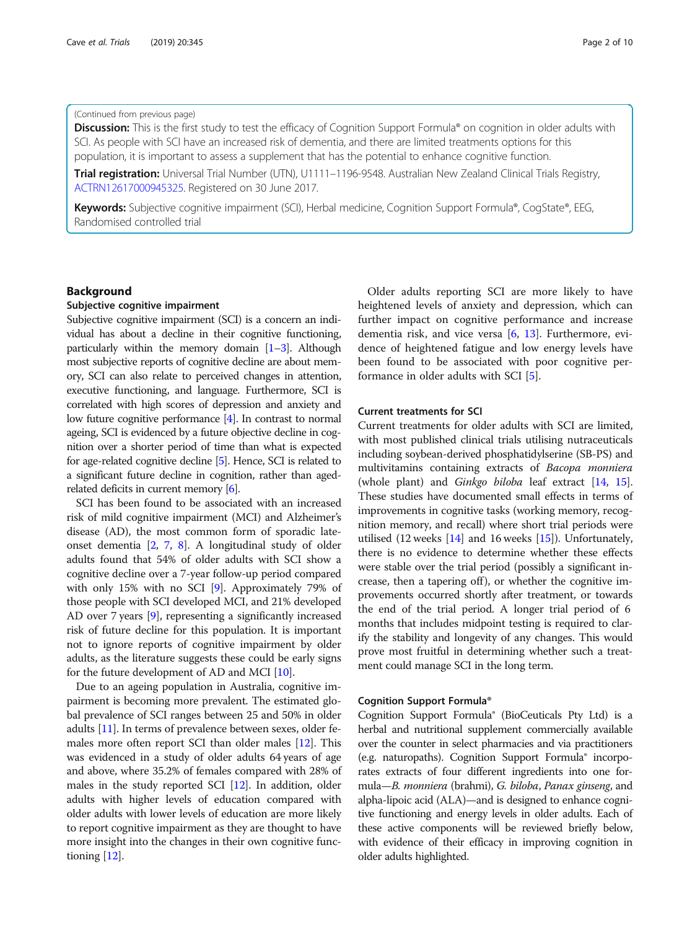#### (Continued from previous page)

Discussion: This is the first study to test the efficacy of Cognition Support Formula® on cognition in older adults with SCI. As people with SCI have an increased risk of dementia, and there are limited treatments options for this population, it is important to assess a supplement that has the potential to enhance cognitive function.

Trial registration: Universal Trial Number (UTN), U1111-1196-9548. Australian New Zealand Clinical Trials Registry, [ACTRN12617000945325](http://www.anzctr.org.au/ACTRN12617000945325.aspx). Registered on 30 June 2017.

Keywords: Subjective cognitive impairment (SCI), Herbal medicine, Cognition Support Formula®, CogState®, EEG, Randomised controlled trial

#### Background

#### Subjective cognitive impairment

Subjective cognitive impairment (SCI) is a concern an individual has about a decline in their cognitive functioning, particularly within the memory domain  $[1-3]$  $[1-3]$  $[1-3]$ . Although most subjective reports of cognitive decline are about memory, SCI can also relate to perceived changes in attention, executive functioning, and language. Furthermore, SCI is correlated with high scores of depression and anxiety and low future cognitive performance [\[4\]](#page-9-0). In contrast to normal ageing, SCI is evidenced by a future objective decline in cognition over a shorter period of time than what is expected for age-related cognitive decline [\[5\]](#page-9-0). Hence, SCI is related to a significant future decline in cognition, rather than agedrelated deficits in current memory [\[6\]](#page-9-0).

SCI has been found to be associated with an increased risk of mild cognitive impairment (MCI) and Alzheimer's disease (AD), the most common form of sporadic lateonset dementia [\[2,](#page-9-0) [7,](#page-9-0) [8](#page-9-0)]. A longitudinal study of older adults found that 54% of older adults with SCI show a cognitive decline over a 7-year follow-up period compared with only 15% with no SCI [\[9](#page-9-0)]. Approximately 79% of those people with SCI developed MCI, and 21% developed AD over 7 years [\[9\]](#page-9-0), representing a significantly increased risk of future decline for this population. It is important not to ignore reports of cognitive impairment by older adults, as the literature suggests these could be early signs for the future development of AD and MCI [\[10\]](#page-9-0).

Due to an ageing population in Australia, cognitive impairment is becoming more prevalent. The estimated global prevalence of SCI ranges between 25 and 50% in older adults [\[11\]](#page-9-0). In terms of prevalence between sexes, older females more often report SCI than older males [\[12\]](#page-9-0). This was evidenced in a study of older adults 64 years of age and above, where 35.2% of females compared with 28% of males in the study reported SCI [[12\]](#page-9-0). In addition, older adults with higher levels of education compared with older adults with lower levels of education are more likely to report cognitive impairment as they are thought to have more insight into the changes in their own cognitive functioning [[12](#page-9-0)].

Older adults reporting SCI are more likely to have heightened levels of anxiety and depression, which can further impact on cognitive performance and increase dementia risk, and vice versa [[6,](#page-9-0) [13\]](#page-9-0). Furthermore, evidence of heightened fatigue and low energy levels have been found to be associated with poor cognitive performance in older adults with SCI [\[5](#page-9-0)].

#### Current treatments for SCI

Current treatments for older adults with SCI are limited, with most published clinical trials utilising nutraceuticals including soybean-derived phosphatidylserine (SB-PS) and multivitamins containing extracts of Bacopa monniera (whole plant) and Ginkgo biloba leaf extract [\[14,](#page-9-0) [15](#page-9-0)]. These studies have documented small effects in terms of improvements in cognitive tasks (working memory, recognition memory, and recall) where short trial periods were utilised (12 weeks [\[14](#page-9-0)] and 16 weeks [\[15\]](#page-9-0)). Unfortunately, there is no evidence to determine whether these effects were stable over the trial period (possibly a significant increase, then a tapering off), or whether the cognitive improvements occurred shortly after treatment, or towards the end of the trial period. A longer trial period of 6 months that includes midpoint testing is required to clarify the stability and longevity of any changes. This would prove most fruitful in determining whether such a treatment could manage SCI in the long term.

#### Cognition Support Formula®

Cognition Support Formula® (BioCeuticals Pty Ltd) is a herbal and nutritional supplement commercially available over the counter in select pharmacies and via practitioners (e.g. naturopaths). Cognition Support Formula® incorporates extracts of four different ingredients into one formula—B. monniera (brahmi), G. biloba, Panax ginseng, and alpha-lipoic acid (ALA)—and is designed to enhance cognitive functioning and energy levels in older adults. Each of these active components will be reviewed briefly below, with evidence of their efficacy in improving cognition in older adults highlighted.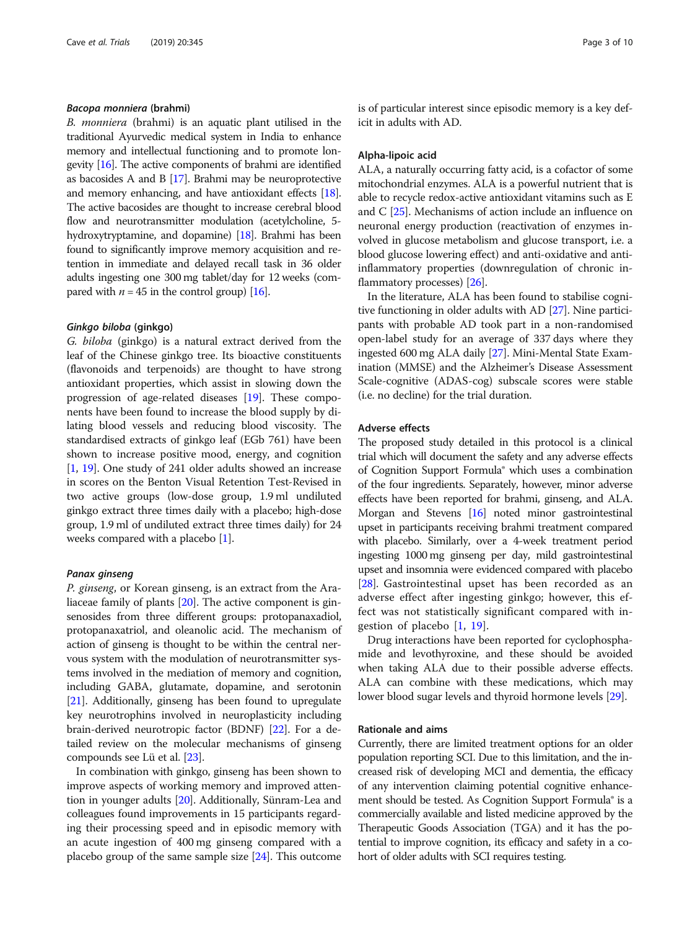#### Bacopa monniera (brahmi)

B. monniera (brahmi) is an aquatic plant utilised in the traditional Ayurvedic medical system in India to enhance memory and intellectual functioning and to promote longevity [\[16\]](#page-9-0). The active components of brahmi are identified as bacosides A and B [\[17\]](#page-9-0). Brahmi may be neuroprotective and memory enhancing, and have antioxidant effects [\[18](#page-9-0)]. The active bacosides are thought to increase cerebral blood flow and neurotransmitter modulation (acetylcholine, 5 hydroxytryptamine, and dopamine) [\[18](#page-9-0)]. Brahmi has been found to significantly improve memory acquisition and retention in immediate and delayed recall task in 36 older adults ingesting one 300 mg tablet/day for 12 weeks (compared with  $n = 45$  in the control group) [\[16\]](#page-9-0).

#### Ginkgo biloba (ginkgo)

G. biloba (ginkgo) is a natural extract derived from the leaf of the Chinese ginkgo tree. Its bioactive constituents (flavonoids and terpenoids) are thought to have strong antioxidant properties, which assist in slowing down the progression of age-related diseases [\[19\]](#page-9-0). These components have been found to increase the blood supply by dilating blood vessels and reducing blood viscosity. The standardised extracts of ginkgo leaf (EGb 761) have been shown to increase positive mood, energy, and cognition [[1,](#page-9-0) [19](#page-9-0)]. One study of 241 older adults showed an increase in scores on the Benton Visual Retention Test-Revised in two active groups (low-dose group, 1.9 ml undiluted ginkgo extract three times daily with a placebo; high-dose group, 1.9 ml of undiluted extract three times daily) for 24 weeks compared with a placebo [\[1](#page-9-0)].

p. ginseng, or Korean ginseng, is an extract from the Araliaceae family of plants [\[20](#page-9-0)]. The active component is ginsenosides from three different groups: protopanaxadiol, protopanaxatriol, and oleanolic acid. The mechanism of action of ginseng is thought to be within the central nervous system with the modulation of neurotransmitter systems involved in the mediation of memory and cognition, including GABA, glutamate, dopamine, and serotonin [[21](#page-9-0)]. Additionally, ginseng has been found to upregulate key neurotrophins involved in neuroplasticity including brain-derived neurotropic factor (BDNF) [\[22\]](#page-9-0). For a detailed review on the molecular mechanisms of ginseng compounds see Lü et al. [\[23\]](#page-9-0).

In combination with ginkgo, ginseng has been shown to improve aspects of working memory and improved attention in younger adults [[20](#page-9-0)]. Additionally, Sünram-Lea and colleagues found improvements in 15 participants regarding their processing speed and in episodic memory with an acute ingestion of 400 mg ginseng compared with a placebo group of the same sample size [\[24\]](#page-9-0). This outcome is of particular interest since episodic memory is a key deficit in adults with AD.

#### Alpha-lipoic acid

ALA, a naturally occurring fatty acid, is a cofactor of some mitochondrial enzymes. ALA is a powerful nutrient that is able to recycle redox-active antioxidant vitamins such as E and C [[25\]](#page-9-0). Mechanisms of action include an influence on neuronal energy production (reactivation of enzymes involved in glucose metabolism and glucose transport, i.e. a blood glucose lowering effect) and anti-oxidative and antiinflammatory properties (downregulation of chronic inflammatory processes) [\[26\]](#page-9-0).

In the literature, ALA has been found to stabilise cognitive functioning in older adults with AD [\[27\]](#page-9-0). Nine participants with probable AD took part in a non-randomised open-label study for an average of 337 days where they ingested 600 mg ALA daily [[27](#page-9-0)]. Mini-Mental State Examination (MMSE) and the Alzheimer's Disease Assessment Scale-cognitive (ADAS-cog) subscale scores were stable (i.e. no decline) for the trial duration.

### Adverse effects

The proposed study detailed in this protocol is a clinical trial which will document the safety and any adverse effects of Cognition Support Formula® which uses a combination of the four ingredients. Separately, however, minor adverse effects have been reported for brahmi, ginseng, and ALA. Morgan and Stevens [[16](#page-9-0)] noted minor gastrointestinal upset in participants receiving brahmi treatment compared with placebo. Similarly, over a 4-week treatment period ingesting 1000 mg ginseng per day, mild gastrointestinal upset and insomnia were evidenced compared with placebo [[28](#page-9-0)]. Gastrointestinal upset has been recorded as an adverse effect after ingesting ginkgo; however, this effect was not statistically significant compared with ingestion of placebo [\[1](#page-9-0), [19\]](#page-9-0).

Drug interactions have been reported for cyclophosphamide and levothyroxine, and these should be avoided when taking ALA due to their possible adverse effects. ALA can combine with these medications, which may lower blood sugar levels and thyroid hormone levels [[29\]](#page-9-0).

#### Rationale and aims

Currently, there are limited treatment options for an older population reporting SCI. Due to this limitation, and the increased risk of developing MCI and dementia, the efficacy of any intervention claiming potential cognitive enhancement should be tested. As Cognition Support Formula® is a commercially available and listed medicine approved by the Therapeutic Goods Association (TGA) and it has the potential to improve cognition, its efficacy and safety in a cohort of older adults with SCI requires testing.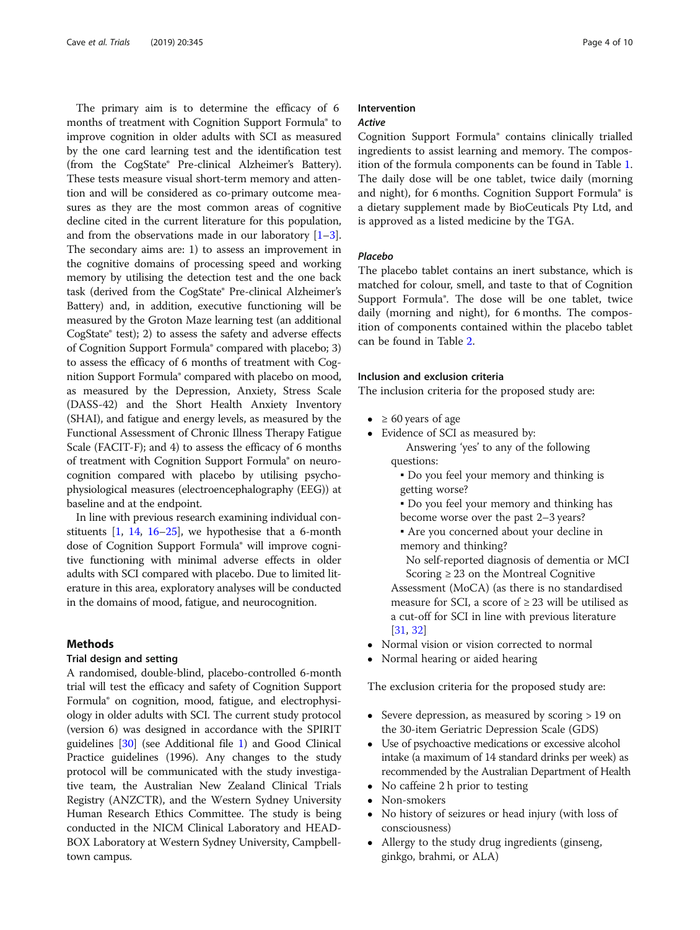The primary aim is to determine the efficacy of 6 months of treatment with Cognition Support Formula® to improve cognition in older adults with SCI as measured by the one card learning test and the identification test (from the CogState® Pre-clinical Alzheimer's Battery). These tests measure visual short-term memory and attention and will be considered as co-primary outcome measures as they are the most common areas of cognitive decline cited in the current literature for this population, and from the observations made in our laboratory  $[1-3]$  $[1-3]$  $[1-3]$  $[1-3]$  $[1-3]$ . The secondary aims are: 1) to assess an improvement in the cognitive domains of processing speed and working memory by utilising the detection test and the one back task (derived from the CogState® Pre-clinical Alzheimer's Battery) and, in addition, executive functioning will be measured by the Groton Maze learning test (an additional CogState® test); 2) to assess the safety and adverse effects of Cognition Support Formula® compared with placebo; 3) to assess the efficacy of 6 months of treatment with Cognition Support Formula® compared with placebo on mood, as measured by the Depression, Anxiety, Stress Scale (DASS-42) and the Short Health Anxiety Inventory (SHAI), and fatigue and energy levels, as measured by the Functional Assessment of Chronic Illness Therapy Fatigue Scale (FACIT-F); and 4) to assess the efficacy of 6 months of treatment with Cognition Support Formula® on neurocognition compared with placebo by utilising psychophysiological measures (electroencephalography (EEG)) at baseline and at the endpoint.

In line with previous research examining individual constituents [\[1](#page-9-0), [14](#page-9-0), [16](#page-9-0)–[25\]](#page-9-0), we hypothesise that a 6-month dose of Cognition Support Formula® will improve cognitive functioning with minimal adverse effects in older adults with SCI compared with placebo. Due to limited literature in this area, exploratory analyses will be conducted in the domains of mood, fatigue, and neurocognition.

#### Methods

## Trial design and setting

A randomised, double-blind, placebo-controlled 6-month trial will test the efficacy and safety of Cognition Support Formula® on cognition, mood, fatigue, and electrophysiology in older adults with SCI. The current study protocol (version 6) was designed in accordance with the SPIRIT guidelines [[30\]](#page-9-0) (see Additional file [1\)](#page-8-0) and Good Clinical Practice guidelines (1996). Any changes to the study protocol will be communicated with the study investigative team, the Australian New Zealand Clinical Trials Registry (ANZCTR), and the Western Sydney University Human Research Ethics Committee. The study is being conducted in the NICM Clinical Laboratory and HEAD-BOX Laboratory at Western Sydney University, Campbelltown campus.

# Intervention

# Active

Cognition Support Formula® contains clinically trialled ingredients to assist learning and memory. The composition of the formula components can be found in Table [1](#page-4-0). The daily dose will be one tablet, twice daily (morning and night), for 6 months. Cognition Support Formula® is a dietary supplement made by BioCeuticals Pty Ltd, and is approved as a listed medicine by the TGA.

# Placebo

The placebo tablet contains an inert substance, which is matched for colour, smell, and taste to that of Cognition Support Formula®. The dose will be one tablet, twice daily (morning and night), for 6 months. The composition of components contained within the placebo tablet can be found in Table [2](#page-4-0).

## Inclusion and exclusion criteria

The inclusion criteria for the proposed study are:

- $\bullet$  ≥ 60 years of age
- Evidence of SCI as measured by: Answering 'yes' to any of the following
	- questions:
		- Do you feel your memory and thinking is getting worse?
	- Do you feel your memory and thinking has become worse over the past 2–3 years?
	- Are you concerned about your decline in memory and thinking?

No self-reported diagnosis of dementia or MCI Scoring  $\geq$  23 on the Montreal Cognitive Assessment (MoCA) (as there is no standardised measure for SCI, a score of  $\geq$  23 will be utilised as

a cut-off for SCI in line with previous literature [[31](#page-9-0), [32](#page-9-0)]

- Normal vision or vision corrected to normal
- Normal hearing or aided hearing

The exclusion criteria for the proposed study are:

- Severe depression, as measured by scoring  $>19$  on the 30-item Geriatric Depression Scale (GDS)
- Use of psychoactive medications or excessive alcohol intake (a maximum of 14 standard drinks per week) as recommended by the Australian Department of Health
- No caffeine 2 h prior to testing
- Non-smokers
- No history of seizures or head injury (with loss of consciousness)
- Allergy to the study drug ingredients (ginseng, ginkgo, brahmi, or ALA)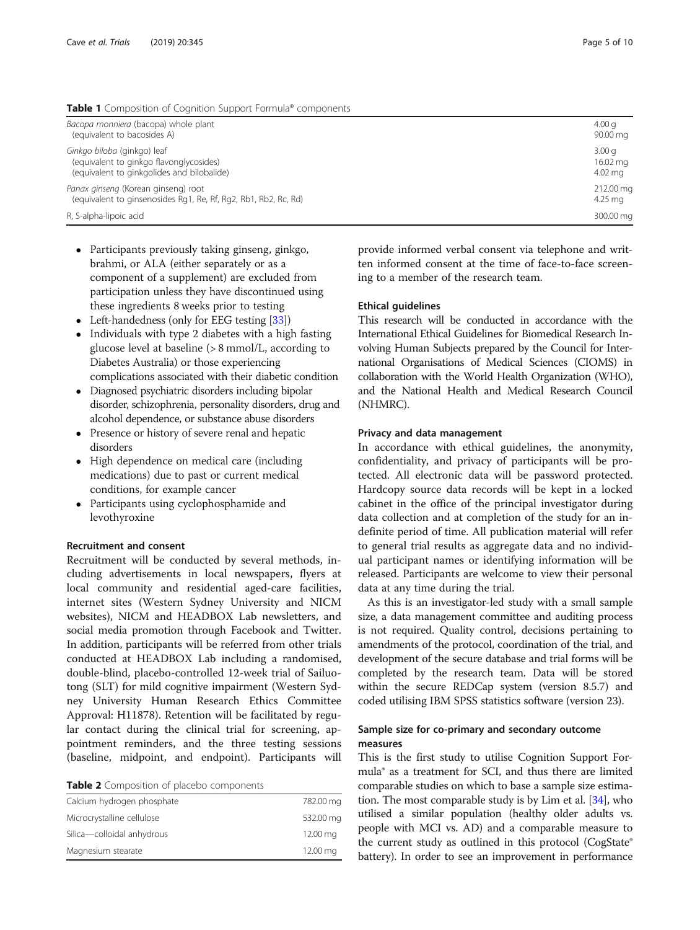<span id="page-4-0"></span>

|  |  |  | Table 1 Composition of Cognition Support Formula® components |
|--|--|--|--------------------------------------------------------------|
|  |  |  |                                                              |

| Bacopa monniera (bacopa) whole plant                            | 4.00 <sub>a</sub> |
|-----------------------------------------------------------------|-------------------|
| (equivalent to bacosides A)                                     | 90.00 mg          |
| Ginkgo biloba (ginkgo) leaf                                     | 3.00 <sub>a</sub> |
| (equivalent to ginkgo flavonglycosides)                         | 16.02 mg          |
| (equivalent to ginkgolides and bilobalide)                      | 4.02 mg           |
| Panax ginseng (Korean ginseng) root                             | 212.00 mc         |
| (equivalent to ginsenosides Rg1, Re, Rf, Rg2, Rb1, Rb2, Rc, Rd) | $4.25 \text{ mg}$ |
| R, S-alpha-lipoic acid                                          | 300.00 mc         |

- Participants previously taking ginseng, ginkgo, brahmi, or ALA (either separately or as a component of a supplement) are excluded from participation unless they have discontinued using these ingredients 8 weeks prior to testing
- Left-handedness (only for EEG testing [\[33](#page-9-0)])
- Individuals with type 2 diabetes with a high fasting glucose level at baseline (> 8 mmol/L, according to Diabetes Australia) or those experiencing complications associated with their diabetic condition
- Diagnosed psychiatric disorders including bipolar disorder, schizophrenia, personality disorders, drug and alcohol dependence, or substance abuse disorders
- Presence or history of severe renal and hepatic disorders
- High dependence on medical care (including medications) due to past or current medical conditions, for example cancer
- Participants using cyclophosphamide and levothyroxine

# Recruitment and consent

Recruitment will be conducted by several methods, including advertisements in local newspapers, flyers at local community and residential aged-care facilities, internet sites (Western Sydney University and NICM websites), NICM and HEADBOX Lab newsletters, and social media promotion through Facebook and Twitter. In addition, participants will be referred from other trials conducted at HEADBOX Lab including a randomised, double-blind, placebo-controlled 12-week trial of Sailuotong (SLT) for mild cognitive impairment (Western Sydney University Human Research Ethics Committee Approval: H11878). Retention will be facilitated by regular contact during the clinical trial for screening, appointment reminders, and the three testing sessions (baseline, midpoint, and endpoint). Participants will

| Table 2 Composition of placebo components |  |
|-------------------------------------------|--|
|-------------------------------------------|--|

| Calcium hydrogen phosphate | 782.00 mg             |
|----------------------------|-----------------------|
| Microcrystalline cellulose | 532.00 mg             |
| Silica-colloidal anhydrous | $12.00 \,\mathrm{mg}$ |
| Magnesium stearate         | 12.00 mg              |
|                            |                       |

provide informed verbal consent via telephone and written informed consent at the time of face-to-face screening to a member of the research team.

#### Ethical guidelines

This research will be conducted in accordance with the International Ethical Guidelines for Biomedical Research Involving Human Subjects prepared by the Council for International Organisations of Medical Sciences (CIOMS) in collaboration with the World Health Organization (WHO), and the National Health and Medical Research Council (NHMRC).

#### Privacy and data management

In accordance with ethical guidelines, the anonymity, confidentiality, and privacy of participants will be protected. All electronic data will be password protected. Hardcopy source data records will be kept in a locked cabinet in the office of the principal investigator during data collection and at completion of the study for an indefinite period of time. All publication material will refer to general trial results as aggregate data and no individual participant names or identifying information will be released. Participants are welcome to view their personal data at any time during the trial.

As this is an investigator-led study with a small sample size, a data management committee and auditing process is not required. Quality control, decisions pertaining to amendments of the protocol, coordination of the trial, and development of the secure database and trial forms will be completed by the research team. Data will be stored within the secure REDCap system (version 8.5.7) and coded utilising IBM SPSS statistics software (version 23).

# Sample size for co-primary and secondary outcome measures

This is the first study to utilise Cognition Support Formula® as a treatment for SCI, and thus there are limited comparable studies on which to base a sample size estimation. The most comparable study is by Lim et al. [\[34\]](#page-9-0), who utilised a similar population (healthy older adults vs. people with MCI vs. AD) and a comparable measure to the current study as outlined in this protocol (CogState® battery). In order to see an improvement in performance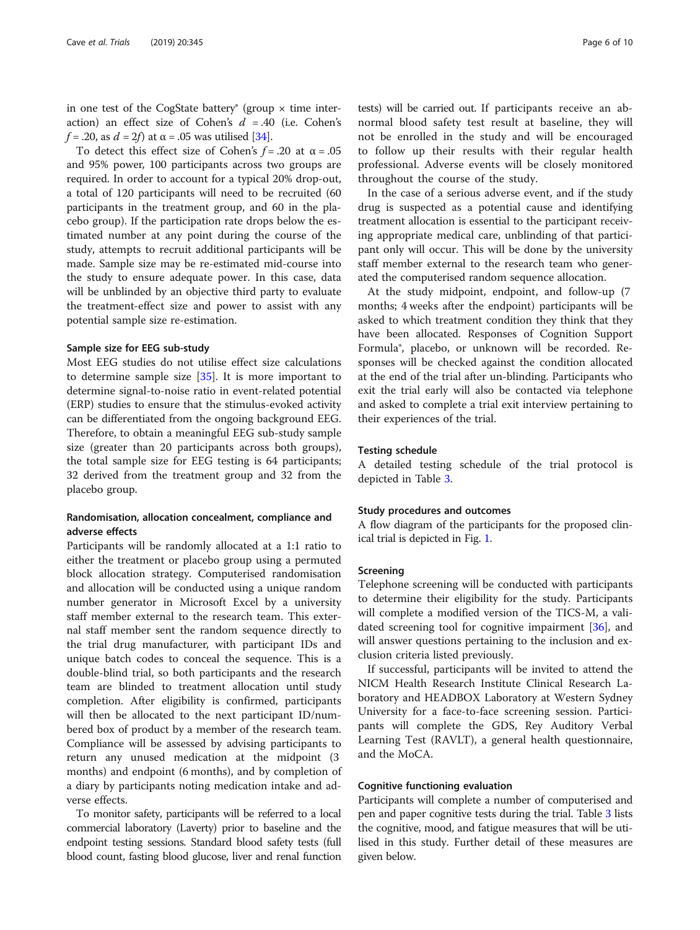in one test of the CogState battery® (group  $\times$  time interaction) an effect size of Cohen's  $d = .40$  (i.e. Cohen's  $f = .20$ , as  $d = 2f$ ) at α = .05 was utilised [\[34\]](#page-9-0).

To detect this effect size of Cohen's  $f = .20$  at  $\alpha = .05$ and 95% power, 100 participants across two groups are required. In order to account for a typical 20% drop-out, a total of 120 participants will need to be recruited (60 participants in the treatment group, and 60 in the placebo group). If the participation rate drops below the estimated number at any point during the course of the study, attempts to recruit additional participants will be made. Sample size may be re-estimated mid-course into the study to ensure adequate power. In this case, data will be unblinded by an objective third party to evaluate the treatment-effect size and power to assist with any potential sample size re-estimation.

#### Sample size for EEG sub-study

Most EEG studies do not utilise effect size calculations to determine sample size [\[35](#page-9-0)]. It is more important to determine signal-to-noise ratio in event-related potential (ERP) studies to ensure that the stimulus-evoked activity can be differentiated from the ongoing background EEG. Therefore, to obtain a meaningful EEG sub-study sample size (greater than 20 participants across both groups), the total sample size for EEG testing is 64 participants; 32 derived from the treatment group and 32 from the placebo group.

# Randomisation, allocation concealment, compliance and adverse effects

Participants will be randomly allocated at a 1:1 ratio to either the treatment or placebo group using a permuted block allocation strategy. Computerised randomisation and allocation will be conducted using a unique random number generator in Microsoft Excel by a university staff member external to the research team. This external staff member sent the random sequence directly to the trial drug manufacturer, with participant IDs and unique batch codes to conceal the sequence. This is a double-blind trial, so both participants and the research team are blinded to treatment allocation until study completion. After eligibility is confirmed, participants will then be allocated to the next participant ID/numbered box of product by a member of the research team. Compliance will be assessed by advising participants to return any unused medication at the midpoint (3 months) and endpoint (6 months), and by completion of a diary by participants noting medication intake and adverse effects.

To monitor safety, participants will be referred to a local commercial laboratory (Laverty) prior to baseline and the endpoint testing sessions. Standard blood safety tests (full blood count, fasting blood glucose, liver and renal function

tests) will be carried out. If participants receive an abnormal blood safety test result at baseline, they will not be enrolled in the study and will be encouraged to follow up their results with their regular health professional. Adverse events will be closely monitored throughout the course of the study.

In the case of a serious adverse event, and if the study drug is suspected as a potential cause and identifying treatment allocation is essential to the participant receiving appropriate medical care, unblinding of that participant only will occur. This will be done by the university staff member external to the research team who generated the computerised random sequence allocation.

At the study midpoint, endpoint, and follow-up (7 months; 4 weeks after the endpoint) participants will be asked to which treatment condition they think that they have been allocated. Responses of Cognition Support Formula®, placebo, or unknown will be recorded. Responses will be checked against the condition allocated at the end of the trial after un-blinding. Participants who exit the trial early will also be contacted via telephone and asked to complete a trial exit interview pertaining to their experiences of the trial.

#### Testing schedule

A detailed testing schedule of the trial protocol is depicted in Table [3](#page-6-0).

#### Study procedures and outcomes

A flow diagram of the participants for the proposed clinical trial is depicted in Fig. [1.](#page-7-0)

#### Screening

Telephone screening will be conducted with participants to determine their eligibility for the study. Participants will complete a modified version of the TICS-M, a validated screening tool for cognitive impairment [[36](#page-9-0)], and will answer questions pertaining to the inclusion and exclusion criteria listed previously.

If successful, participants will be invited to attend the NICM Health Research Institute Clinical Research Laboratory and HEADBOX Laboratory at Western Sydney University for a face-to-face screening session. Participants will complete the GDS, Rey Auditory Verbal Learning Test (RAVLT), a general health questionnaire, and the MoCA.

#### Cognitive functioning evaluation

Participants will complete a number of computerised and pen and paper cognitive tests during the trial. Table [3](#page-6-0) lists the cognitive, mood, and fatigue measures that will be utilised in this study. Further detail of these measures are given below.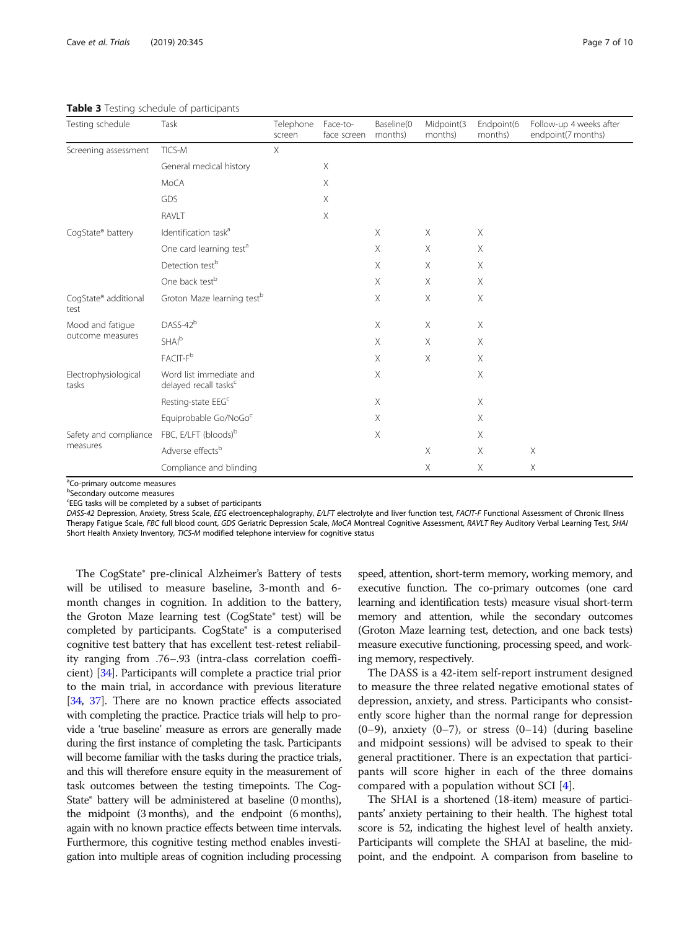#### <span id="page-6-0"></span>Table 3 Testing schedule of participants

| Testing schedule                  | Task                                                         | Telephone<br>screen | Face-to-<br>face screen   | Baseline(0<br>months) | Midpoint(3<br>months) | Endpoint(6<br>months) | Follow-up 4 weeks after<br>endpoint(7 months) |
|-----------------------------------|--------------------------------------------------------------|---------------------|---------------------------|-----------------------|-----------------------|-----------------------|-----------------------------------------------|
| Screening assessment              | TICS-M                                                       | $\times$            |                           |                       |                       |                       |                                               |
|                                   | General medical history                                      |                     | $\boldsymbol{\times}$     |                       |                       |                       |                                               |
|                                   | MoCA                                                         |                     | $\boldsymbol{\mathsf{X}}$ |                       |                       |                       |                                               |
|                                   | GDS                                                          |                     | $\boldsymbol{\mathsf{X}}$ |                       |                       |                       |                                               |
|                                   | <b>RAVLT</b>                                                 |                     | $\boldsymbol{\mathsf{X}}$ |                       |                       |                       |                                               |
| CogState® battery                 | Identification task <sup>a</sup>                             |                     |                           | X                     | $\times$              | $\times$              |                                               |
|                                   | One card learning test <sup>a</sup>                          |                     |                           | Χ                     | $\times$              | Χ                     |                                               |
|                                   | Detection test <sup>b</sup>                                  |                     |                           | X                     | X                     | $\times$              |                                               |
|                                   | One back test <sup>b</sup>                                   |                     |                           | X                     | X                     | Χ                     |                                               |
| CogState® additional<br>test      | Groton Maze learning test <sup>b</sup>                       |                     |                           | Χ                     | X                     | Χ                     |                                               |
| Mood and fatigue                  | DASS-42 <sup>b</sup>                                         |                     |                           | X                     | Χ                     | $\times$              |                                               |
| outcome measures                  | SHAl <sup>b</sup>                                            |                     |                           | $\times$              | $\times$              | $\times$              |                                               |
|                                   | $FACIT-F^b$                                                  |                     |                           | Χ                     | $\mathsf X$           | $\times$              |                                               |
| Electrophysiological<br>tasks     | Word list immediate and<br>delayed recall tasks <sup>c</sup> |                     |                           | Χ                     |                       | Χ                     |                                               |
|                                   | Resting-state EEG <sup>c</sup>                               |                     |                           | Χ                     |                       | $\times$              |                                               |
|                                   | Equiprobable Go/NoGo <sup>c</sup>                            |                     |                           | X                     |                       | $\times$              |                                               |
| Safety and compliance<br>measures | FBC, E/LFT (bloods) <sup>b</sup>                             |                     |                           | X                     |                       | Χ                     |                                               |
|                                   | Adverse effects <sup>b</sup>                                 |                     |                           |                       | $\times$              | $\times$              | $\boldsymbol{\mathsf{X}}$                     |
|                                   | Compliance and blinding                                      |                     |                           |                       | Χ                     | Χ                     | Χ                                             |

Co-primary outcome measures

b Secondary outcome measures

EEG tasks will be completed by a subset of participants

DASS-42 Depression, Anxiety, Stress Scale, EEG electroencephalography, E/LFT electrolyte and liver function test, FACIT-F Functional Assessment of Chronic Illness Therapy Fatigue Scale, FBC full blood count, GDS Geriatric Depression Scale, MoCA Montreal Cognitive Assessment, RAVLT Rey Auditory Verbal Learning Test, SHAI Short Health Anxiety Inventory, TICS-M modified telephone interview for cognitive status

The CogState® pre-clinical Alzheimer's Battery of tests will be utilised to measure baseline, 3-month and 6 month changes in cognition. In addition to the battery, the Groton Maze learning test (CogState® test) will be completed by participants. CogState® is a computerised cognitive test battery that has excellent test-retest reliability ranging from .76–.93 (intra-class correlation coefficient) [\[34\]](#page-9-0). Participants will complete a practice trial prior to the main trial, in accordance with previous literature [[34](#page-9-0), [37\]](#page-9-0). There are no known practice effects associated with completing the practice. Practice trials will help to provide a 'true baseline' measure as errors are generally made during the first instance of completing the task. Participants will become familiar with the tasks during the practice trials, and this will therefore ensure equity in the measurement of task outcomes between the testing timepoints. The Cog-State® battery will be administered at baseline (0 months), the midpoint (3 months), and the endpoint (6 months), again with no known practice effects between time intervals. Furthermore, this cognitive testing method enables investigation into multiple areas of cognition including processing

speed, attention, short-term memory, working memory, and executive function. The co-primary outcomes (one card learning and identification tests) measure visual short-term memory and attention, while the secondary outcomes (Groton Maze learning test, detection, and one back tests) measure executive functioning, processing speed, and working memory, respectively.

The DASS is a 42-item self-report instrument designed to measure the three related negative emotional states of depression, anxiety, and stress. Participants who consistently score higher than the normal range for depression  $(0-9)$ , anxiety  $(0-7)$ , or stress  $(0-14)$  (during baseline and midpoint sessions) will be advised to speak to their general practitioner. There is an expectation that participants will score higher in each of the three domains compared with a population without SCI [[4\]](#page-9-0).

The SHAI is a shortened (18-item) measure of participants' anxiety pertaining to their health. The highest total score is 52, indicating the highest level of health anxiety. Participants will complete the SHAI at baseline, the midpoint, and the endpoint. A comparison from baseline to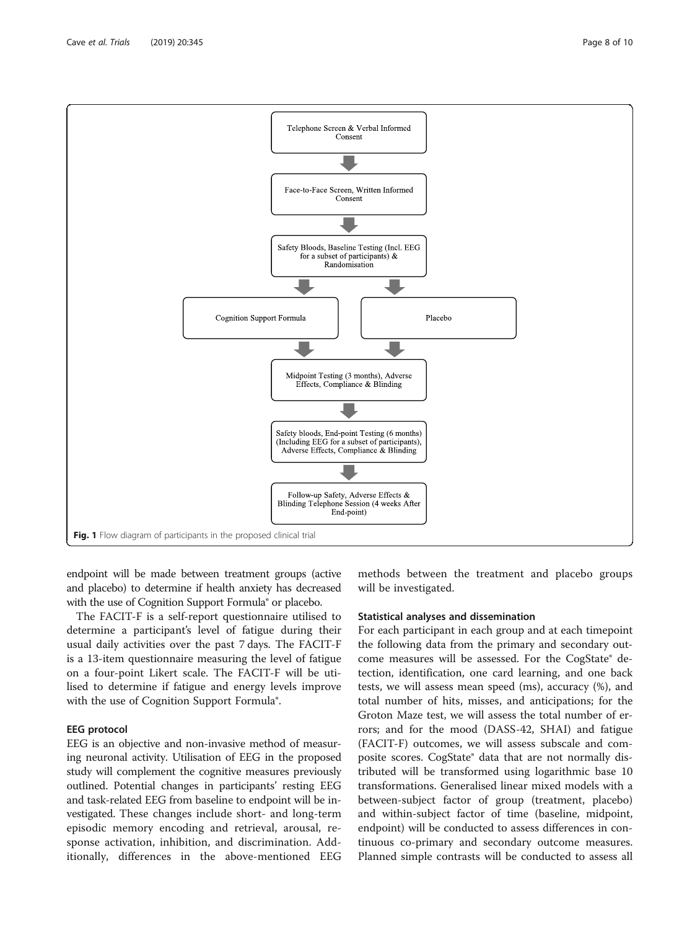endpoint will be made between treatment groups (active and placebo) to determine if health anxiety has decreased with the use of Cognition Support Formula<sup>®</sup> or placebo.

The FACIT-F is a self-report questionnaire utilised to determine a participant's level of fatigue during their usual daily activities over the past 7 days. The FACIT-F is a 13-item questionnaire measuring the level of fatigue on a four-point Likert scale. The FACIT-F will be utilised to determine if fatigue and energy levels improve with the use of Cognition Support Formula®.

# EEG protocol

EEG is an objective and non-invasive method of measuring neuronal activity. Utilisation of EEG in the proposed study will complement the cognitive measures previously outlined. Potential changes in participants' resting EEG and task-related EEG from baseline to endpoint will be investigated. These changes include short- and long-term episodic memory encoding and retrieval, arousal, response activation, inhibition, and discrimination. Additionally, differences in the above-mentioned EEG

methods between the treatment and placebo groups will be investigated.

# Statistical analyses and dissemination

For each participant in each group and at each timepoint the following data from the primary and secondary outcome measures will be assessed. For the CogState® detection, identification, one card learning, and one back tests, we will assess mean speed (ms), accuracy (%), and total number of hits, misses, and anticipations; for the Groton Maze test, we will assess the total number of errors; and for the mood (DASS-42, SHAI) and fatigue (FACIT-F) outcomes, we will assess subscale and composite scores. CogState® data that are not normally distributed will be transformed using logarithmic base 10 transformations. Generalised linear mixed models with a between-subject factor of group (treatment, placebo) and within-subject factor of time (baseline, midpoint, endpoint) will be conducted to assess differences in continuous co-primary and secondary outcome measures. Planned simple contrasts will be conducted to assess all

<span id="page-7-0"></span>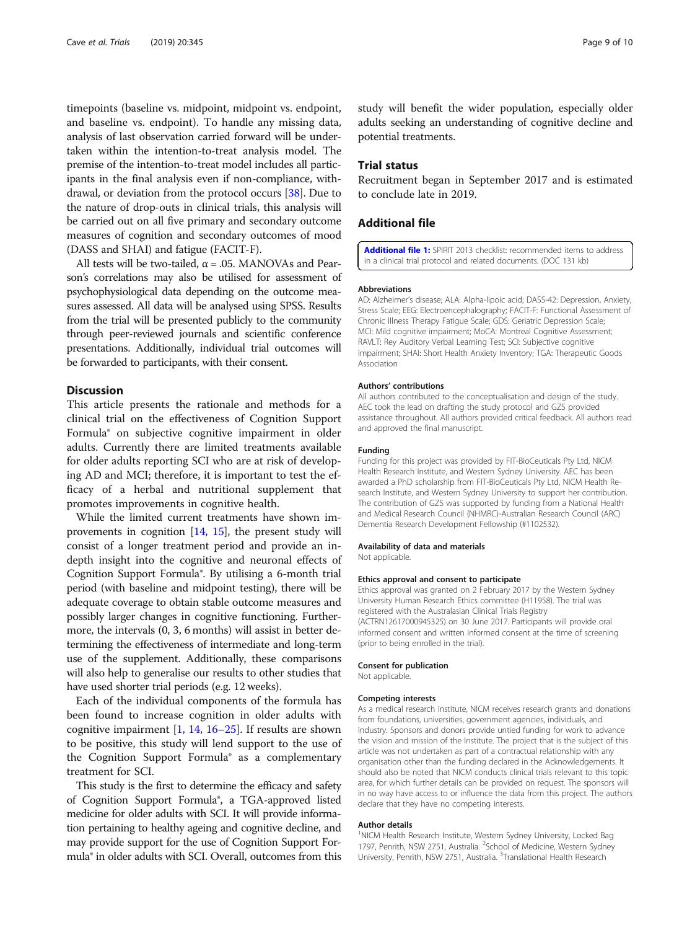<span id="page-8-0"></span>timepoints (baseline vs. midpoint, midpoint vs. endpoint, and baseline vs. endpoint). To handle any missing data, analysis of last observation carried forward will be undertaken within the intention-to-treat analysis model. The premise of the intention-to-treat model includes all participants in the final analysis even if non-compliance, withdrawal, or deviation from the protocol occurs [\[38\]](#page-9-0). Due to the nature of drop-outs in clinical trials, this analysis will be carried out on all five primary and secondary outcome measures of cognition and secondary outcomes of mood (DASS and SHAI) and fatigue (FACIT-F).

All tests will be two-tailed,  $\alpha$  = .05. MANOVAs and Pearson's correlations may also be utilised for assessment of psychophysiological data depending on the outcome measures assessed. All data will be analysed using SPSS. Results from the trial will be presented publicly to the community through peer-reviewed journals and scientific conference presentations. Additionally, individual trial outcomes will be forwarded to participants, with their consent.

### **Discussion**

This article presents the rationale and methods for a clinical trial on the effectiveness of Cognition Support Formula® on subjective cognitive impairment in older adults. Currently there are limited treatments available for older adults reporting SCI who are at risk of developing AD and MCI; therefore, it is important to test the efficacy of a herbal and nutritional supplement that promotes improvements in cognitive health.

While the limited current treatments have shown improvements in cognition [\[14,](#page-9-0) [15\]](#page-9-0), the present study will consist of a longer treatment period and provide an indepth insight into the cognitive and neuronal effects of Cognition Support Formula®. By utilising a 6-month trial period (with baseline and midpoint testing), there will be adequate coverage to obtain stable outcome measures and possibly larger changes in cognitive functioning. Furthermore, the intervals (0, 3, 6 months) will assist in better determining the effectiveness of intermediate and long-term use of the supplement. Additionally, these comparisons will also help to generalise our results to other studies that have used shorter trial periods (e.g. 12 weeks).

Each of the individual components of the formula has been found to increase cognition in older adults with cognitive impairment [[1](#page-9-0), [14](#page-9-0), [16](#page-9-0)–[25](#page-9-0)]. If results are shown to be positive, this study will lend support to the use of the Cognition Support Formula® as a complementary treatment for SCI.

This study is the first to determine the efficacy and safety of Cognition Support Formula®, a TGA-approved listed medicine for older adults with SCI. It will provide information pertaining to healthy ageing and cognitive decline, and may provide support for the use of Cognition Support Formula® in older adults with SCI. Overall, outcomes from this study will benefit the wider population, especially older adults seeking an understanding of cognitive decline and potential treatments.

# Trial status

Recruitment began in September 2017 and is estimated to conclude late in 2019.

# Additional file

[Additional file 1:](https://doi.org/10.1186/s13063-019-3431-3) SPIRIT 2013 checklist: recommended items to address in a clinical trial protocol and related documents. (DOC 131 kb)

#### Abbreviations

AD: Alzheimer's disease; ALA: Alpha-lipoic acid; DASS-42: Depression, Anxiety, Stress Scale; EEG: Electroencephalography; FACIT-F: Functional Assessment of Chronic Illness Therapy Fatigue Scale; GDS: Geriatric Depression Scale; MCI: Mild cognitive impairment; MoCA: Montreal Cognitive Assessment; RAVLT: Rey Auditory Verbal Learning Test; SCI: Subjective cognitive impairment; SHAI: Short Health Anxiety Inventory; TGA: Therapeutic Goods Association

#### Authors' contributions

All authors contributed to the conceptualisation and design of the study. AEC took the lead on drafting the study protocol and GZS provided assistance throughout. All authors provided critical feedback. All authors read and approved the final manuscript.

#### Funding

Funding for this project was provided by FIT-BioCeuticals Pty Ltd, NICM Health Research Institute, and Western Sydney University. AEC has been awarded a PhD scholarship from FIT-BioCeuticals Pty Ltd, NICM Health Research Institute, and Western Sydney University to support her contribution. The contribution of GZS was supported by funding from a National Health and Medical Research Council (NHMRC)-Australian Research Council (ARC) Dementia Research Development Fellowship (#1102532).

#### Availability of data and materials

Not applicable.

#### Ethics approval and consent to participate

Ethics approval was granted on 2 February 2017 by the Western Sydney University Human Research Ethics committee (H11958). The trial was registered with the Australasian Clinical Trials Registry (ACTRN12617000945325) on 30 June 2017. Participants will provide oral informed consent and written informed consent at the time of screening (prior to being enrolled in the trial).

#### Consent for publication

Not applicable.

#### Competing interests

As a medical research institute, NICM receives research grants and donations from foundations, universities, government agencies, individuals, and industry. Sponsors and donors provide untied funding for work to advance the vision and mission of the Institute. The project that is the subject of this article was not undertaken as part of a contractual relationship with any organisation other than the funding declared in the Acknowledgements. It should also be noted that NICM conducts clinical trials relevant to this topic area, for which further details can be provided on request. The sponsors will in no way have access to or influence the data from this project. The authors declare that they have no competing interests.

#### Author details

<sup>1</sup>NICM Health Research Institute, Western Sydney University, Locked Bag 1797, Penrith, NSW 2751, Australia. <sup>2</sup>School of Medicine, Western Sydney University, Penrith, NSW 2751, Australia. <sup>3</sup>Translational Health Research